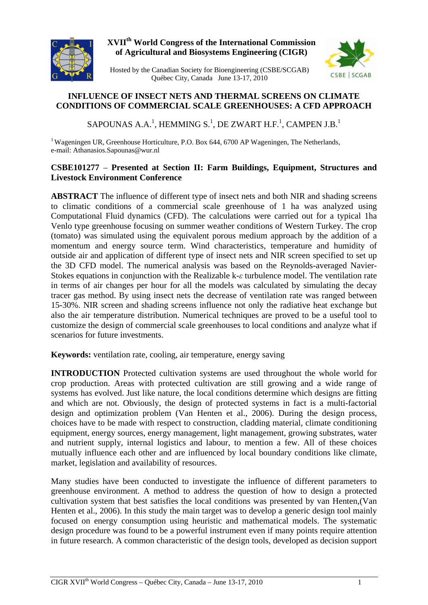

## **XVIIth World Congress of the International Commission of Agricultural and Biosystems Engineering (CIGR)**



Hosted by the Canadian Society for Bioengineering (CSBE/SCGAB) Québec City, Canada June 13-17, 2010

# **INFLUENCE OF INSECT NETS AND THERMAL SCREENS ON CLIMATE CONDITIONS OF COMMERCIAL SCALE GREENHOUSES: A CFD APPROACH**

SAPOUNAS A.A. $^1$ , HEMMING S. $^1$ , DE ZWART H.F. $^1$ , CAMPEN J.B. $^1$ 

<sup>1</sup> Wageningen UR, Greenhouse Horticulture, P.O. Box 644, 6700 AP Wageningen, The Netherlands, e-mail: Athanasios.Sapounas@wur.nl

### **CSBE101277** – **Presented at Section II: Farm Buildings, Equipment, Structures and Livestock Environment Conference**

**ABSTRACT** The influence of different type of insect nets and both NIR and shading screens to climatic conditions of a commercial scale greenhouse of 1 ha was analyzed using Computational Fluid dynamics (CFD). The calculations were carried out for a typical 1ha Venlo type greenhouse focusing on summer weather conditions of Western Turkey. The crop (tomato) was simulated using the equivalent porous medium approach by the addition of a momentum and energy source term. Wind characteristics, temperature and humidity of outside air and application of different type of insect nets and NIR screen specified to set up the 3D CFD model. The numerical analysis was based on the Reynolds-averaged Navier-Stokes equations in conjunction with the Realizable k-*ε* turbulence model. The ventilation rate in terms of air changes per hour for all the models was calculated by simulating the decay tracer gas method. By using insect nets the decrease of ventilation rate was ranged between 15-30%. NIR screen and shading screens influence not only the radiative heat exchange but also the air temperature distribution. Numerical techniques are proved to be a useful tool to customize the design of commercial scale greenhouses to local conditions and analyze what if scenarios for future investments.

**Keywords:** ventilation rate, cooling, air temperature, energy saving

**INTRODUCTION** Protected cultivation systems are used throughout the whole world for crop production. Areas with protected cultivation are still growing and a wide range of systems has evolved. Just like nature, the local conditions determine which designs are fitting and which are not. Obviously, the design of protected systems in fact is a multi-factorial design and optimization problem (Van Henten et al., 2006). During the design process, choices have to be made with respect to construction, cladding material, climate conditioning equipment, energy sources, energy management, light management, growing substrates, water and nutrient supply, internal logistics and labour, to mention a few. All of these choices mutually influence each other and are influenced by local boundary conditions like climate, market, legislation and availability of resources.

Many studies have been conducted to investigate the influence of different parameters to greenhouse environment. A method to address the question of how to design a protected cultivation system that best satisfies the local conditions was presented by van Henten,(Van Henten et al., 2006). In this study the main target was to develop a generic design tool mainly focused on energy consumption using heuristic and mathematical models. The systematic design procedure was found to be a powerful instrument even if many points require attention in future research. A common characteristic of the design tools, developed as decision support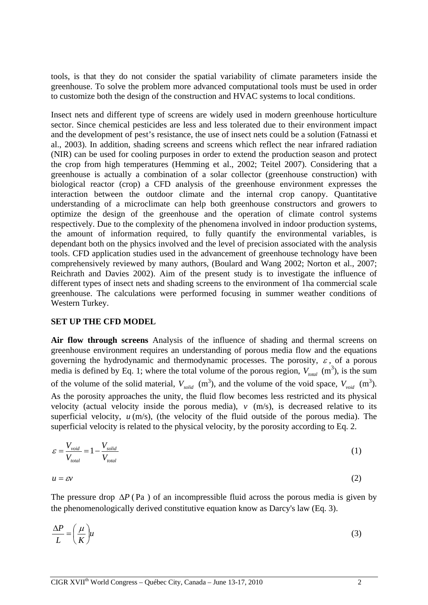tools, is that they do not consider the spatial variability of climate parameters inside the greenhouse. To solve the problem more advanced computational tools must be used in order to customize both the design of the construction and HVAC systems to local conditions.

Insect nets and different type of screens are widely used in modern greenhouse horticulture sector. Since chemical pesticides are less and less tolerated due to their environment impact and the development of pest's resistance, the use of insect nets could be a solution (Fatnassi et al., 2003). In addition, shading screens and screens which reflect the near infrared radiation (NIR) can be used for cooling purposes in order to extend the production season and protect the crop from high temperatures (Hemming et al., 2002; Teitel 2007). Considering that a greenhouse is actually a combination of a solar collector (greenhouse construction) with biological reactor (crop) a CFD analysis of the greenhouse environment expresses the interaction between the outdoor climate and the internal crop canopy. Quantitative understanding of a microclimate can help both greenhouse constructors and growers to optimize the design of the greenhouse and the operation of climate control systems respectively. Due to the complexity of the phenomena involved in indoor production systems, the amount of information required, to fully quantify the environmental variables, is dependant both on the physics involved and the level of precision associated with the analysis tools. CFD application studies used in the advancement of greenhouse technology have been comprehensively reviewed by many authors, (Boulard and Wang 2002; Norton et al., 2007; Reichrath and Davies 2002). Aim of the present study is to investigate the influence of different types of insect nets and shading screens to the environment of 1ha commercial scale greenhouse. The calculations were performed focusing in summer weather conditions of Western Turkey.

#### **SET UP THE CFD MODEL**

**Air flow through screens** Analysis of the influence of shading and thermal screens on greenhouse environment requires an understanding of porous media flow and the equations governing the hydrodynamic and thermodynamic processes. The porosity,  $\varepsilon$ , of a porous media is defined by Eq. 1; where the total volume of the porous region,  $V_{total}$  (m<sup>3</sup>), is the sum of the volume of the solid material,  $V_{solid}$  (m<sup>3</sup>), and the volume of the void space,  $V_{void}$  (m<sup>3</sup>). velocity (actual velocity inside the porous media),  $v$  (m/s), is decreased relative to its As the porosity approaches the unity, the fluid flow becomes less restricted and its physical superficial velocity,  $u$  (m/s), (the velocity of the fluid outside of the porous media). The superficial velocity is related to the physical velocity, by the porosity according to Eq. 2.

$$
\varepsilon = \frac{V_{void}}{V_{total}} = 1 - \frac{V_{solid}}{V_{total}}
$$
\n(1)

$$
u = \varepsilon v \tag{2}
$$

The pressure drop  $\Delta P$  (Pa) of an incompressible fluid across the porous media is given by the phenomenologically derived constitutive equation know as Darcy's law (Eq. 3).

$$
\frac{\Delta P}{L} = \left(\frac{\mu}{K}\right)u\tag{3}
$$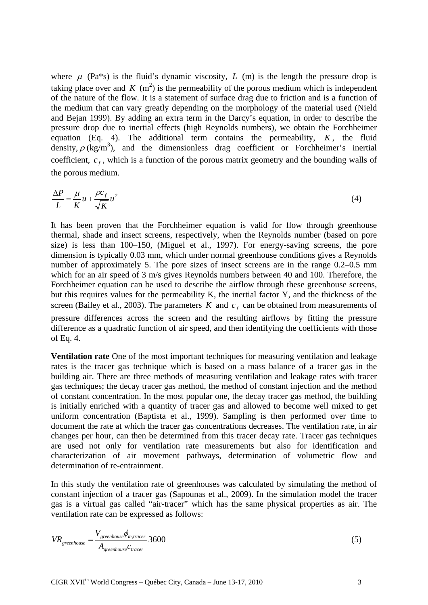where  $\mu$  (Pa<sup>\*</sup>s) is the fluid's dynamic viscosity, *L* (m) is the length the pressure drop is taking place over and  $K$  (m<sup>2</sup>) is the permeability of the porous medium which is independent equation (Eq. 4). The additional term contains the permeability,  $K$ , the fluid of the nature of the flow. It is a statement of surface drag due to friction and is a function of the medium that can vary greatly depending on the morphology of the material used (Nield and Bejan 1999). By adding an extra term in the Darcy's equation, in order to describe the pressure drop due to inertial effects (high Reynolds numbers), we obtain the Forchheimer density,  $\rho$  (kg/m<sup>3</sup>), and the dimensionless drag coefficient or Forchheimer's inertial coefficient,  $c_f$ , which is a function of the porous matrix geometry and the bounding walls of the porous medium.

$$
\frac{\Delta P}{L} = \frac{\mu}{K} u + \frac{\rho c_f}{\sqrt{K}} u^2
$$
\n(4)

It has been proven that the Forchheimer equation is valid for flow through greenhouse thermal, shade and insect screens, respectively, when the Reynolds number (based on pore size) is less than 100–150, (Miguel et al., 1997). For energy-saving screens, the pore dimension is typically 0.03 mm, which under normal greenhouse conditions gives a Reynolds number of approximately 5. The pore sizes of insect screens are in the range  $0.2{\text -}0.5$  mm which for an air speed of 3 m/s gives Reynolds numbers between 40 and 100. Therefore, the Forchheimer equation can be used to describe the airflow through these greenhouse screens, but this requires values for the permeability K, the inertial factor Y, and the thickness of the screen (Bailey et al., 2003). The parameters  $K$  and  $c_f$  can be obtained from measurements of pressure differences across the screen and the resulting airflows by fitting the pressure difference as a quadratic function of air speed, and then identifying the coefficients with those

**Ventilation rate** One of the most important techniques for measuring ventilation and leakage rates is the tracer gas technique which is based on a mass balance of a tracer gas in the building air. There are three methods of measuring ventilation and leakage rates with tracer gas techniques; the decay tracer gas method, the method of constant injection and the method of constant concentration. In the most popular one, the decay tracer gas method, the building is initially enriched with a quantity of tracer gas and allowed to become well mixed to get uniform concentration (Baptista et al., 1999). Sampling is then performed over time to document the rate at which the tracer gas concentrations decreases. The ventilation rate, in air changes per hour, can then be determined from this tracer decay rate. Tracer gas techniques are used not only for ventilation rate measurements but also for identification and characterization of air movement pathways, determination of volumetric flow and determination of re-entrainment.

In this study the ventilation rate of greenhouses was calculated by simulating the method of constant injection of a tracer gas (Sapounas et al., 2009). In the simulation model the tracer gas is a virtual gas called "air-tracer" which has the same physical properties as air. The ventilation rate can be expressed as follows:

$$
VR_{greenhouse} = \frac{V_{greenhouse} \phi_{m, tracer}}{A_{greenhouse} c_{tracer}} 3600
$$
\n
$$
(5)
$$

of Eq. 4.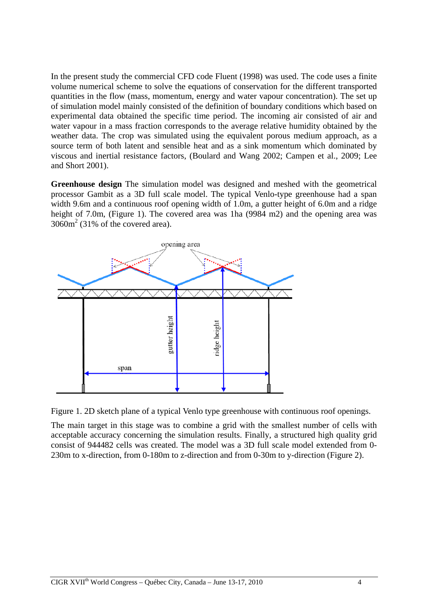In the present study the commercial CFD code Fluent (1998) was used. The code uses a finite volume numerical scheme to solve the equations of conservation for the different transported quantities in the flow (mass, momentum, energy and water vapour concentration). The set up of simulation model mainly consisted of the definition of boundary conditions which based on experimental data obtained the specific time period. The incoming air consisted of air and water vapour in a mass fraction corresponds to the average relative humidity obtained by the weather data. The crop was simulated using the equivalent porous medium approach, as a source term of both latent and sensible heat and as a sink momentum which dominated by viscous and inertial resistance factors, (Boulard and Wang 2002; Campen et al., 2009; Lee and Short 2001).

**Greenhouse design** The simulation model was designed and meshed with the geometrical processor Gambit as a 3D full scale model. The typical Venlo-type greenhouse had a span width 9.6m and a continuous roof opening width of 1.0m, a gutter height of 6.0m and a ridge height of 7.0m, (Figure 1). The covered area was 1ha (9984 m2) and the opening area was  $3060m<sup>2</sup>$  (31% of the covered area).



Figure 1. 2D sketch plane of a typical Venlo type greenhouse with continuous roof openings.

The main target in this stage was to combine a grid with the smallest number of cells with acceptable accuracy concerning the simulation results. Finally, a structured high quality grid consist of 944482 cells was created. The model was a 3D full scale model extended from 0- 230m to x-direction, from 0-180m to z-direction and from 0-30m to y-direction (Figure 2).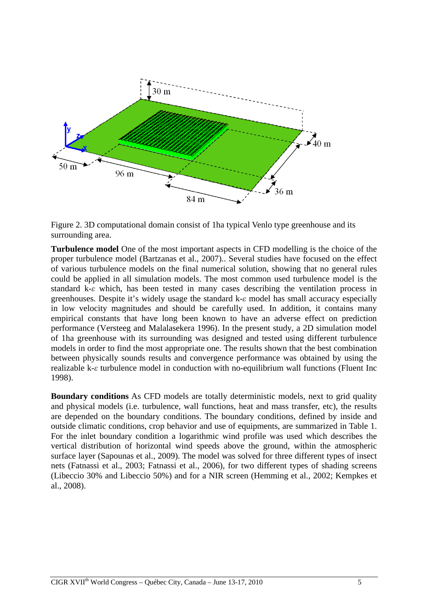

Figure 2. 3D computational domain consist of 1ha typical Venlo type greenhouse and its surrounding area.

**Turbulence model** One of the most important aspects in CFD modelling is the choice of the proper turbulence model (Bartzanas et al., 2007).. Several studies have focused on the effect of various turbulence models on the final numerical solution, showing that no general rules could be applied in all simulation models. The most common used turbulence model is the standard k-*ε* which, has been tested in many cases describing the ventilation process in greenhouses. Despite it's widely usage the standard k-*ε* model has small accuracy especially in low velocity magnitudes and should be carefully used. In addition, it contains many empirical constants that have long been known to have an adverse effect on prediction performance (Versteeg and Malalasekera 1996). In the present study, a 2D simulation model of 1ha greenhouse with its surrounding was designed and tested using different turbulence models in order to find the most appropriate one. The results shown that the best combination between physically sounds results and convergence performance was obtained by using the realizable k-*ε* turbulence model in conduction with no-equilibrium wall functions (Fluent Inc 1998).

**Boundary conditions** As CFD models are totally deterministic models, next to grid quality and physical models (i.e. turbulence, wall functions, heat and mass transfer, etc), the results are depended on the boundary conditions. The boundary conditions, defined by inside and outside climatic conditions, crop behavior and use of equipments, are summarized in Table 1. For the inlet boundary condition a logarithmic wind profile was used which describes the vertical distribution of horizontal wind speeds above the ground, within the atmospheric surface layer (Sapounas et al., 2009). The model was solved for three different types of insect nets (Fatnassi et al., 2003; Fatnassi et al., 2006), for two different types of shading screens (Libeccio 30% and Libeccio 50%) and for a NIR screen (Hemming et al., 2002; Kempkes et al., 2008).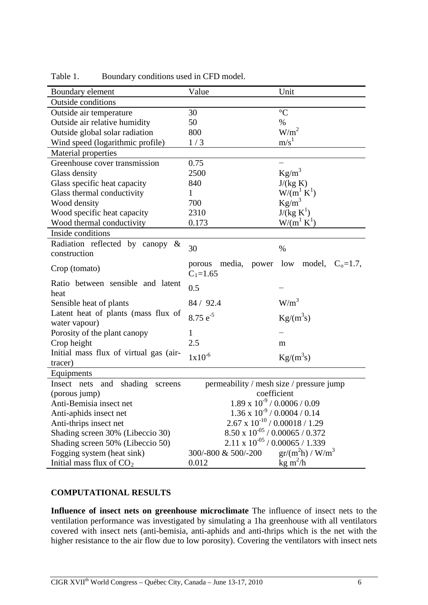| Boundary element                                      | Value                                      | Unit                      |  |  |  |
|-------------------------------------------------------|--------------------------------------------|---------------------------|--|--|--|
| <b>Outside conditions</b>                             |                                            |                           |  |  |  |
| Outside air temperature                               | 30                                         | $\rm ^{\circ}C$           |  |  |  |
| Outside air relative humidity                         | 50                                         | $\%$                      |  |  |  |
| Outside global solar radiation                        | 800                                        | W/m <sup>2</sup>          |  |  |  |
| Wind speed (logarithmic profile)                      | 1/3                                        | m/s <sup>1</sup>          |  |  |  |
| Material properties                                   |                                            |                           |  |  |  |
| Greenhouse cover transmission                         | 0.75                                       |                           |  |  |  |
| Glass density                                         | 2500                                       | $Kg/m^3$                  |  |  |  |
| Glass specific heat capacity                          | 840                                        | J/(kg K)                  |  |  |  |
| Glass thermal conductivity                            | 1                                          | $W/(m^{\perp} K^{\perp})$ |  |  |  |
| Wood density                                          | 700                                        | $Kg/m^3$                  |  |  |  |
| Wood specific heat capacity                           | 2310                                       | $J/(kg K^1)$              |  |  |  |
| Wood thermal conductivity                             | 0.173                                      | $W/(m^1 K^1)$             |  |  |  |
| Inside conditions                                     |                                            |                           |  |  |  |
| Radiation reflected by canopy $\&$<br>construction    | 30                                         | $\%$                      |  |  |  |
| Crop (tomato)                                         | media, power low<br>porous<br>$C_1 = 1.65$ | model, $C_0=1.7$ ,        |  |  |  |
| Ratio between sensible and latent<br>heat             | 0.5                                        |                           |  |  |  |
| Sensible heat of plants                               | 84 / 92.4                                  | $W/m^3$                   |  |  |  |
| Latent heat of plants (mass flux of                   | $8.75 e^{-5}$                              | $\text{Kg/(m}^3\text{s})$ |  |  |  |
| water vapour)                                         |                                            |                           |  |  |  |
| Porosity of the plant canopy                          | 1<br>2.5                                   |                           |  |  |  |
| Crop height<br>Initial mass flux of virtual gas (air- |                                            | m                         |  |  |  |
| tracer)                                               | $1x10^{-6}$                                | $\text{Kg/(m}^3\text{s})$ |  |  |  |
| Equipments                                            |                                            |                           |  |  |  |
| Insect nets and shading<br>screens                    | permeability / mesh size / pressure jump   |                           |  |  |  |
| (porous jump)                                         | coefficient                                |                           |  |  |  |
| Anti-Bemisia insect net                               | $1.89 \times 10^{-9}$ / 0.0006 / 0.09      |                           |  |  |  |
| Anti-aphids insect net                                | $1.36 \times 10^{-9} / 0.0004 / 0.14$      |                           |  |  |  |
| Anti-thrips insect net                                | $2.67 \times 10^{-10}$ / 0.00018 / 1.29    |                           |  |  |  |
| Shading screen 30% (Libeccio 30)                      | $8.50 \ge 10^{-05}$ / $0.00065$ / $0.372$  |                           |  |  |  |
| Shading screen 50% (Libeccio 50)                      | $2.11 \times 10^{-05}$ / 0.00065 / 1.339   |                           |  |  |  |
| Fogging system (heat sink)                            | $gr/(m^2h) / W/m^3$<br>300/-800 & 500/-200 |                           |  |  |  |
| Initial mass flux of $CO2$                            | 0.012                                      | $\text{kg m}^2/\text{h}$  |  |  |  |

Table 1. Boundary conditions used in CFD model.

# **COMPUTATIONAL RESULTS**

**Influence of insect nets on greenhouse microclimate** The influence of insect nets to the ventilation performance was investigated by simulating a 1ha greenhouse with all ventilators covered with insect nets (anti-bemisia, anti-aphids and anti-thrips which is the net with the higher resistance to the air flow due to low porosity). Covering the ventilators with insect nets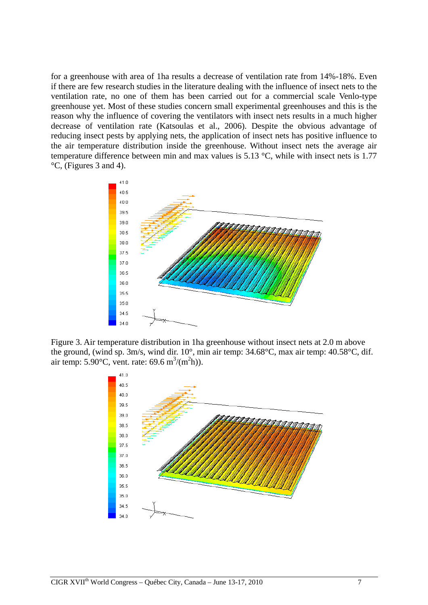for a greenhouse with area of 1ha results a decrease of ventilation rate from 14%-18%. Even if there are few research studies in the literature dealing with the influence of insect nets to the ventilation rate, no one of them has been carried out for a commercial scale Venlo-type greenhouse yet. Most of these studies concern small experimental greenhouses and this is the reason why the influence of covering the ventilators with insect nets results in a much higher decrease of ventilation rate (Katsoulas et al., 2006). Despite the obvious advantage of reducing insect pests by applying nets, the application of insect nets has positive influence to the air temperature distribution inside the greenhouse. Without insect nets the average air temperature difference between min and max values is 5.13 °C, while with insect nets is 1.77 °C, (Figures 3 and 4).



Figure 3. Air temperature distribution in 1ha greenhouse without insect nets at 2.0 m above the ground, (wind sp. 3m/s, wind dir. 10°, min air temp: 34.68°C, max air temp: 40.58°C, dif. air temp: 5.90°C, vent. rate: 69.6 m<sup>3</sup>/(m<sup>2</sup>h)).

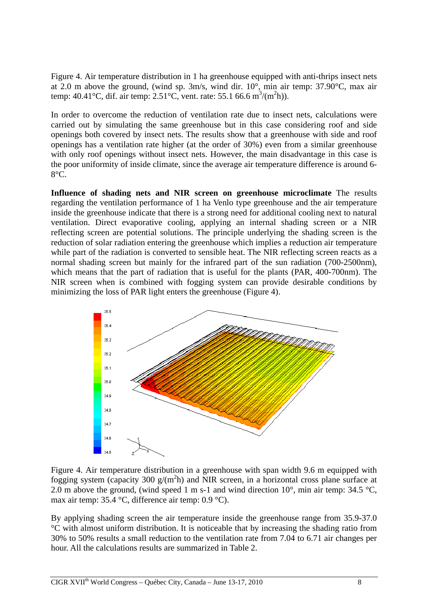Figure 4. Air temperature distribution in 1 ha greenhouse equipped with anti-thrips insect nets at 2.0 m above the ground, (wind sp. 3m/s, wind dir. 10°, min air temp: 37.90°C, max air temp:  $40.41^{\circ}$ C, dif. air temp:  $2.51^{\circ}$ C, vent. rate: 55.1 66.6 m<sup>3</sup>/(m<sup>2</sup>h)).

In order to overcome the reduction of ventilation rate due to insect nets, calculations were carried out by simulating the same greenhouse but in this case considering roof and side openings both covered by insect nets. The results show that a greenhouse with side and roof openings has a ventilation rate higher (at the order of 30%) even from a similar greenhouse with only roof openings without insect nets. However, the main disadvantage in this case is the poor uniformity of inside climate, since the average air temperature difference is around 6- 8°C.

**Influence of shading nets and NIR screen on greenhouse microclimate** The results regarding the ventilation performance of 1 ha Venlo type greenhouse and the air temperature inside the greenhouse indicate that there is a strong need for additional cooling next to natural ventilation. Direct evaporative cooling, applying an internal shading screen or a NIR reflecting screen are potential solutions. The principle underlying the shading screen is the reduction of solar radiation entering the greenhouse which implies a reduction air temperature while part of the radiation is converted to sensible heat. The NIR reflecting screen reacts as a normal shading screen but mainly for the infrared part of the sun radiation (700-2500nm), which means that the part of radiation that is useful for the plants (PAR, 400-700nm). The NIR screen when is combined with fogging system can provide desirable conditions by minimizing the loss of PAR light enters the greenhouse (Figure 4).



Figure 4. Air temperature distribution in a greenhouse with span width 9.6 m equipped with fogging system (capacity 300  $g/(m^2h)$  and NIR screen, in a horizontal cross plane surface at 2.0 m above the ground, (wind speed 1 m s-1 and wind direction  $10^{\circ}$ , min air temp: 34.5  $^{\circ}$ C, max air temp: 35.4 °C, difference air temp: 0.9 °C).

By applying shading screen the air temperature inside the greenhouse range from 35.9-37.0 °C with almost uniform distribution. It is noticeable that by increasing the shading ratio from 30% to 50% results a small reduction to the ventilation rate from 7.04 to 6.71 air changes per hour. All the calculations results are summarized in Table 2.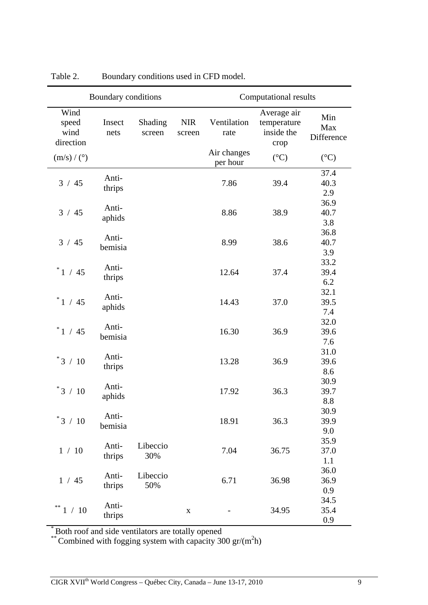| Boundary conditions                |                 |                   | Computational results |                         |                                                  |                          |
|------------------------------------|-----------------|-------------------|-----------------------|-------------------------|--------------------------------------------------|--------------------------|
| Wind<br>speed<br>wind<br>direction | Insect<br>nets  | Shading<br>screen | <b>NIR</b><br>screen  | Ventilation<br>rate     | Average air<br>temperature<br>inside the<br>crop | Min<br>Max<br>Difference |
| $(m/s)/$ (°)                       |                 |                   |                       | Air changes<br>per hour | $({}^{\circ}C)$                                  | $({}^{\circ}C)$          |
| 3 / 45                             | Anti-           |                   |                       |                         |                                                  | 37.4                     |
|                                    | thrips          |                   |                       | 7.86                    | 39.4                                             | 40.3                     |
|                                    |                 |                   |                       |                         |                                                  | 2.9                      |
| 3 / 45                             | Anti-           |                   |                       | 8.86                    | 38.9                                             | 36.9                     |
|                                    | aphids          |                   |                       |                         |                                                  | 40.7                     |
|                                    |                 |                   |                       |                         |                                                  | 3.8<br>36.8              |
| 3 / 45                             | Anti-           |                   |                       | 8.99                    | 38.6                                             | 40.7                     |
|                                    | bemisia         |                   |                       |                         |                                                  | 3.9                      |
|                                    |                 |                   |                       |                         |                                                  | 33.2                     |
| Anti-<br>$^*$ 1 / 45<br>thrips     |                 |                   |                       | 12.64                   | 37.4                                             | 39.4                     |
|                                    |                 |                   |                       |                         |                                                  | 6.2                      |
|                                    |                 |                   |                       |                         |                                                  | 32.1                     |
| $^*$ 1 / 45                        | Anti-           |                   |                       | 14.43                   | 37.0                                             | 39.5                     |
| aphids                             |                 |                   |                       |                         |                                                  | 7.4                      |
| Anti-<br>$^*$ 1 / 45<br>bemisia    |                 |                   |                       |                         |                                                  | 32.0                     |
|                                    |                 |                   |                       | 16.30                   | 36.9                                             | 39.6                     |
|                                    |                 |                   |                       |                         |                                                  | 7.6                      |
| $^*3$ / $10$                       | Anti-<br>thrips |                   |                       | 13.28                   | 36.9                                             | 31.0                     |
|                                    |                 |                   |                       |                         |                                                  | 39.6                     |
|                                    |                 |                   |                       |                         |                                                  | 8.6                      |
| $\boldsymbol{3}^*$<br>/10          | Anti-           |                   |                       |                         |                                                  | 30.9                     |
|                                    | aphids          |                   |                       | 17.92                   | 36.3                                             | 39.7                     |
|                                    |                 |                   |                       |                         |                                                  | 8.8                      |
| $^*3$ / $10$                       | Anti-           |                   |                       | 18.91                   | 36.3                                             | 30.9<br>39.9             |
|                                    | bemisia         |                   |                       |                         |                                                  | 9.0                      |
| 1/10                               |                 |                   |                       |                         |                                                  | 35.9                     |
|                                    | Anti-           | Libeccio          |                       | 7.04                    | 36.75                                            | 37.0                     |
|                                    | thrips          | 30%               |                       |                         |                                                  | 1.1                      |
| 1/45                               | Anti-           | Libeccio          |                       |                         |                                                  | 36.0                     |
|                                    |                 |                   |                       | 6.71                    | 36.98                                            | 36.9                     |
|                                    | thrips          | 50%               |                       |                         |                                                  | 0.9                      |
| **<br>1/10                         | Anti-           |                   |                       |                         |                                                  | 34.5                     |
|                                    | thrips          |                   | $\mathbf X$           |                         | 34.95                                            | 35.4                     |
|                                    |                 |                   |                       |                         |                                                  | 0.9                      |

Table 2. Boundary conditions used in CFD model.

\* Both roof and side ventilators are totally opened

\*\* Combined with fogging system with capacity 300 gr/ $(m^2h)$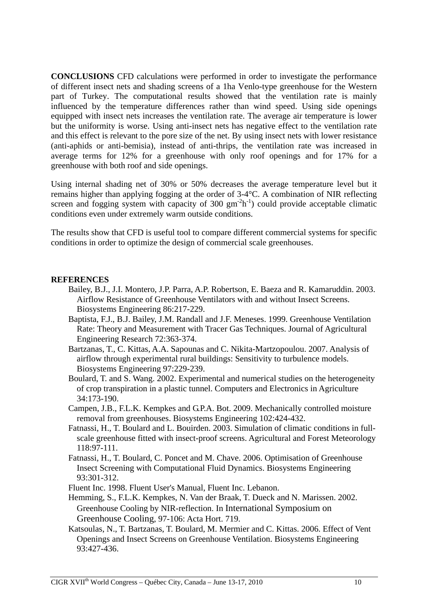**CONCLUSIONS** CFD calculations were performed in order to investigate the performance of different insect nets and shading screens of a 1ha Venlo-type greenhouse for the Western part of Turkey. The computational results showed that the ventilation rate is mainly influenced by the temperature differences rather than wind speed. Using side openings equipped with insect nets increases the ventilation rate. The average air temperature is lower but the uniformity is worse. Using anti-insect nets has negative effect to the ventilation rate and this effect is relevant to the pore size of the net. By using insect nets with lower resistance (anti-aphids or anti-bemisia), instead of anti-thrips, the ventilation rate was increased in average terms for 12% for a greenhouse with only roof openings and for 17% for a greenhouse with both roof and side openings.

Using internal shading net of 30% or 50% decreases the average temperature level but it remains higher than applying fogging at the order of 3-4°C. A combination of NIR reflecting screen and fogging system with capacity of  $300 \text{ gm}^{-2} \text{h}^{-1}$ ) could provide acceptable climatic conditions even under extremely warm outside conditions.

The results show that CFD is useful tool to compare different commercial systems for specific conditions in order to optimize the design of commercial scale greenhouses.

#### **REFERENCES**

- Bailey, B.J., J.I. Montero, J.P. Parra, A.P. Robertson, E. Baeza and R. Kamaruddin. 2003. Airflow Resistance of Greenhouse Ventilators with and without Insect Screens. Biosystems Engineering 86:217-229.
- Baptista, F.J., B.J. Bailey, J.M. Randall and J.F. Meneses. 1999. Greenhouse Ventilation Rate: Theory and Measurement with Tracer Gas Techniques. Journal of Agricultural Engineering Research 72:363-374.
- Bartzanas, T., C. Kittas, A.A. Sapounas and C. Nikita-Martzopoulou. 2007. Analysis of airflow through experimental rural buildings: Sensitivity to turbulence models. Biosystems Engineering 97:229-239.
- Boulard, T. and S. Wang. 2002. Experimental and numerical studies on the heterogeneity of crop transpiration in a plastic tunnel. Computers and Electronics in Agriculture 34:173-190.
- Campen, J.B., F.L.K. Kempkes and G.P.A. Bot. 2009. Mechanically controlled moisture removal from greenhouses. Biosystems Engineering 102:424-432.
- Fatnassi, H., T. Boulard and L. Bouirden. 2003. Simulation of climatic conditions in fullscale greenhouse fitted with insect-proof screens. Agricultural and Forest Meteorology 118:97-111.
- Fatnassi, H., T. Boulard, C. Poncet and M. Chave. 2006. Optimisation of Greenhouse Insect Screening with Computational Fluid Dynamics. Biosystems Engineering 93:301-312.
- Fluent Inc. 1998. Fluent User's Manual, Fluent Inc. Lebanon.
- Hemming, S., F.L.K. Kempkes, N. Van der Braak, T. Dueck and N. Marissen. 2002. Greenhouse Cooling by NIR-reflection. In International Symposium on Greenhouse Cooling, 97-106: Acta Hort. 719.
- Katsoulas, N., T. Bartzanas, T. Boulard, M. Mermier and C. Kittas. 2006. Effect of Vent Openings and Insect Screens on Greenhouse Ventilation. Biosystems Engineering 93:427-436.